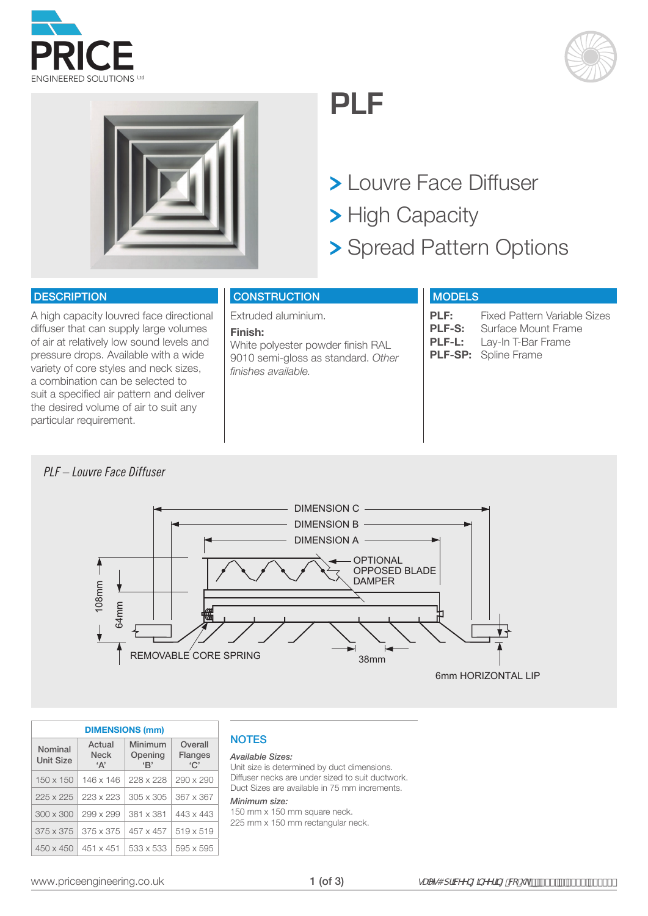





## **PLF**

Louvre Face Diffuser

- > High Capacity
- > Spread Pattern Options

### **DESCRIPTION**

A high capacity louvred face directional diffuser that can supply large volumes of air at relatively low sound levels and pressure drops. Available with a wide variety of core styles and neck sizes, a combination can be selected to suit a specified air pattern and deliver the desired volume of air to suit any particular requirement.

## **CONSTRUCTION**

Extruded aluminium.

#### **Finish:**

White polyester powder finish RAL 9010 semi-gloss as standard. *Other finishes available.*

## **MODELS**

**PLF:** Fixed Pattern Variable Sizes<br>**PLF-S:** Surface Mount Frame **PLF-S:** Surface Mount Frame<br>**PLF-L:** Lay-In T-Bar Frame Lay-In T-Bar Frame **PLF-SP:** Spline Frame

## *PLF – Louvre Face Diffuser*



| <b>DIMENSIONS (mm)</b>      |                                        |                          |                                  |  |  |  |  |  |  |  |  |  |
|-----------------------------|----------------------------------------|--------------------------|----------------------------------|--|--|--|--|--|--|--|--|--|
| Nominal<br><b>Unit Size</b> | Actual<br><b>Neck</b><br>$^{\circ}$ A' | Minimum<br>Opening<br>B' | Overall<br><b>Flanges</b><br>`C' |  |  |  |  |  |  |  |  |  |
| $150 \times 150$            | 146 x 146                              | 228 x 228                | $290 \times 290$                 |  |  |  |  |  |  |  |  |  |
| $225 \times 225$            | 223 x 223                              | $305 \times 305$         | 367 x 367                        |  |  |  |  |  |  |  |  |  |
| $300 \times 300$            | 299 x 299                              | 381 x 381                | 443 x 443                        |  |  |  |  |  |  |  |  |  |
| $375 \times 375$            | $375 \times 375$                       | $457 \times 457$         | $519 \times 519$                 |  |  |  |  |  |  |  |  |  |
| $450 \times 450$            | $451 \times 451$                       | 533 x 533                | 595 x 595                        |  |  |  |  |  |  |  |  |  |

## **NOTES**

#### *Available Sizes:*

Unit size is determined by duct dimensions. Diffuser necks are under sized to suit ductwork. Duct Sizes are available in 75 mm increments.

#### *Minimum size:*

150 mm x 150 mm square neck. 225 mm x 150 mm rectangular neck.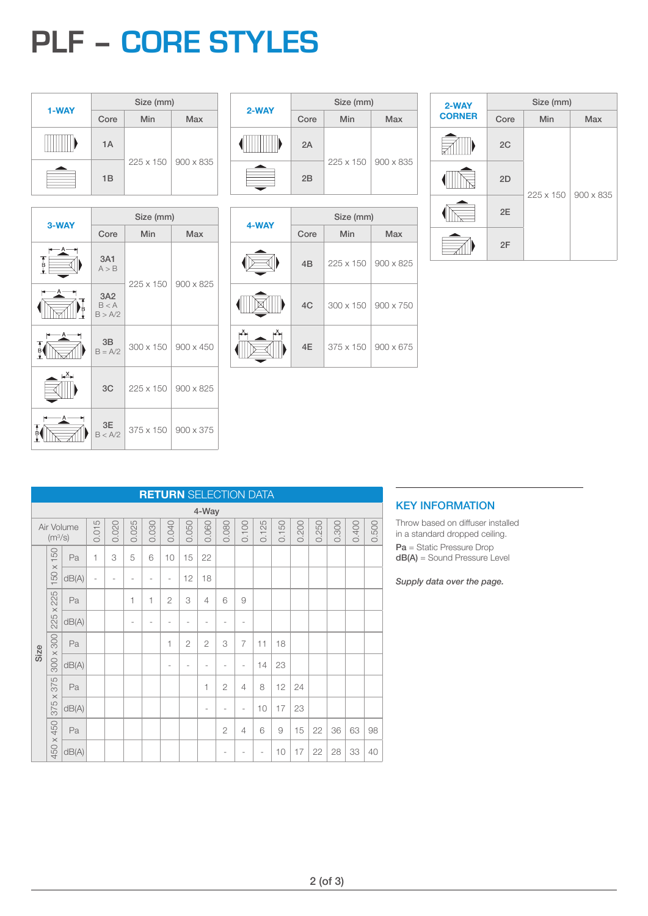# **PLF – CORE STYLES**

|       | Size (mm) |     |                       |  |  |  |  |  |  |  |
|-------|-----------|-----|-----------------------|--|--|--|--|--|--|--|
| 1-WAY | Core      | Min | <b>Max</b>            |  |  |  |  |  |  |  |
|       | 1A        |     |                       |  |  |  |  |  |  |  |
|       | 1B        |     | 225 x 150   900 x 835 |  |  |  |  |  |  |  |

| 3-WAY |                         | Size (mm) |                  |
|-------|-------------------------|-----------|------------------|
|       | Core                    | Min       | <b>Max</b>       |
| 不良土   | 3A1<br>A > B            |           |                  |
|       | 3A2<br>B < A<br>B > A/2 | 225 x 150 | 900 x 825        |
|       | 3B<br>$B = A/2$         | 300 x 150 | $900 \times 450$ |
| ∟×∟   | 3C                      | 225 x 150 | 900 x 825        |
|       | 3E<br>B < A/2           | 375 x 150 | 900 x 375        |

| 2-WAY | Size (mm) |           |                  |  |  |  |  |  |  |  |
|-------|-----------|-----------|------------------|--|--|--|--|--|--|--|
|       | Core      | Min       | Max              |  |  |  |  |  |  |  |
|       | 2A        |           |                  |  |  |  |  |  |  |  |
|       | 2B        | 225 x 150 | $900 \times 835$ |  |  |  |  |  |  |  |

|       | Size (mm) |                  |                  |  |  |  |  |  |  |
|-------|-----------|------------------|------------------|--|--|--|--|--|--|
| 4-WAY | Core      | Min              | Max              |  |  |  |  |  |  |
|       | 4B        | 225 x 150        | $900 \times 825$ |  |  |  |  |  |  |
|       | 4C        | 300 x 150        | $900 \times 750$ |  |  |  |  |  |  |
|       | 4E        | $375 \times 150$ | $900 \times 675$ |  |  |  |  |  |  |

| 2-WAY         |      | Size (mm) |            |
|---------------|------|-----------|------------|
| <b>CORNER</b> | Core | Min       | <b>Max</b> |
|               | 2C   |           |            |
|               | 2D   | 225 x 150 | 900 x 835  |
|               | 2E   |           |            |
|               | 2F   |           |            |

|      | <b>RETURN SELECTION DATA</b> |            |                |       |                          |                |                          |                |                |                |                |       |       |       |       |       |       |       |
|------|------------------------------|------------|----------------|-------|--------------------------|----------------|--------------------------|----------------|----------------|----------------|----------------|-------|-------|-------|-------|-------|-------|-------|
|      | 4-Way                        |            |                |       |                          |                |                          |                |                |                |                |       |       |       |       |       |       |       |
|      | (m <sup>3</sup> /s)          | Air Volume | 0.015          | 0.020 | 0.025                    | 0.030          | 0.040                    | 0.050          | 0.060          | 0.080          | 0.100          | 0.125 | 0.150 | 0.200 | 0.250 | 0.300 | 0.400 | 0.500 |
|      | $150 \times 150$             | Pa         | $\mathbf{1}$   | 3     | 5                        | 6              | 10                       | 15             | 22             |                |                |       |       |       |       |       |       |       |
|      |                              | dB(A)      | $\overline{a}$ | ٠     | $\overline{\phantom{a}}$ | $\overline{a}$ | $\overline{\phantom{a}}$ | 12             | 18             |                |                |       |       |       |       |       |       |       |
|      | 225 x 225                    | Pa         |                |       | 1                        | 1              | $\overline{2}$           | 3              | $\overline{4}$ | 6              | 9              |       |       |       |       |       |       |       |
|      |                              | dB(A)      |                |       | $\overline{\phantom{a}}$ | $\overline{a}$ | $\overline{a}$           | -              | ٠              | ٠              | ٠              |       |       |       |       |       |       |       |
| Size | 300 x 300                    | Pa         |                |       |                          |                | 1                        | $\overline{2}$ | $\overline{2}$ | 3              | $\overline{7}$ | 11    | 18    |       |       |       |       |       |
|      |                              | dB(A)      |                |       |                          |                | $\overline{\phantom{a}}$ |                |                |                |                | 14    | 23    |       |       |       |       |       |
|      | 375 x 375                    | Pa         |                |       |                          |                |                          |                | 1              | $\overline{2}$ | $\overline{4}$ | 8     | 12    | 24    |       |       |       |       |
|      |                              | dB(A)      |                |       |                          |                |                          |                | ٠              |                | ۰              | 10    | 17    | 23    |       |       |       |       |
|      | 450 x 450                    | Pa         |                |       |                          |                |                          |                |                | $\overline{2}$ | 4              | 6     | 9     | 15    | 22    | 36    | 63    | 98    |
|      |                              | dB(A)      |                |       |                          |                |                          |                |                |                |                | ÷     | 10    | 17    | 22    | 28    | 33    | 40    |

### KEY INFORMATION

Throw based on diffuser installed in a standard dropped ceiling. Pa = Static Pressure Drop dB(A) = Sound Pressure Level

*Supply data over the page.*